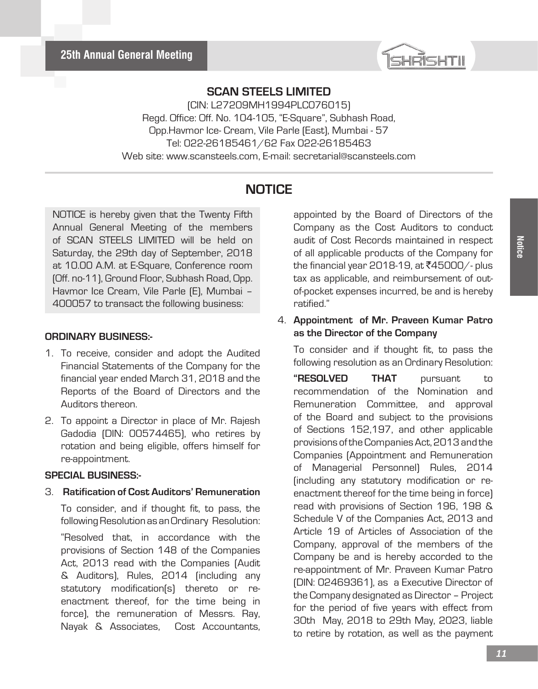

(CIN: L27209MH1994PLC076015) Regd. Office: Off. No. 104-105, "E-Square", Subhash Road, Opp.Havmor Ice- Cream, Vile Parle (East), Mumbai - 57 Tel: 022-26185461/62 Fax 022-26185463 Web site: www.scansteels.com, E-mail: secretarial@scansteels.com

## **NOTICE**

NOTICE is hereby given that the Twenty Fifth Annual General Meeting of the members of SCAN STEELS LIMITED will be held on Saturday, the 29th day of September, 2018 at 10.00 A.M. at E-Square, Conference room (Off. no-11), Ground Floor, Subhash Road, Opp. Havmor Ice Cream, Vile Parle (E), Mumbai – 400057 to transact the following business:

#### **ORDINARY BUSINESS:-**

- 1. To receive, consider and adopt the Audited Financial Statements of the Company for the financial year ended March 31, 2018 and the Reports of the Board of Directors and the Auditors thereon.
- 2. To appoint a Director in place of Mr. Rajesh Gadodia (DIN: 00574465), who retires by rotation and being eligible, offers himself for re-appointment.

#### **SPECIAL BUSINESS:-**

3. **Ratification of Cost Auditors' Remuneration**

To consider, and if thought fit, to pass, the following Resolution as an Ordinary Resolution:

"Resolved that, in accordance with the provisions of Section 148 of the Companies Act, 2013 read with the Companies (Audit & Auditors), Rules, 2014 (including any statutory modification(s) thereto or reenactment thereof, for the time being in force), the remuneration of Messrs. Ray, Nayak & Associates, Cost Accountants,

appointed by the Board of Directors of the Company as the Cost Auditors to conduct audit of Cost Records maintained in respect of all applicable products of the Company for the financial year 2018-19, at  $\text{\textsf{7}}45000/$ - plus tax as applicable, and reimbursement of outof-pocket expenses incurred, be and is hereby ratified."

#### 4. **Appointment of Mr. Praveen Kumar Patro as the Director of the Company**

To consider and if thought fit, to pass the following resolution as an Ordinary Resolution:

**"RESOLVED THAT** pursuant to recommendation of the Nomination and Remuneration Committee, and approval of the Board and subject to the provisions of Sections 152,197, and other applicable provisions of the Companies Act, 2013 and the Companies (Appointment and Remuneration of Managerial Personnel) Rules, 2014 (including any statutory modification or reenactment thereof for the time being in force) read with provisions of Section 196, 198 & Schedule V of the Companies Act, 2013 and Article 19 of Articles of Association of the Company, approval of the members of the Company be and is hereby accorded to the re-appointment of Mr. Praveen Kumar Patro (DIN: 02469361), as a Executive Director of the Company designated as Director – Project for the period of five years with effect from 30th May, 2018 to 29th May, 2023, liable to retire by rotation, as well as the payment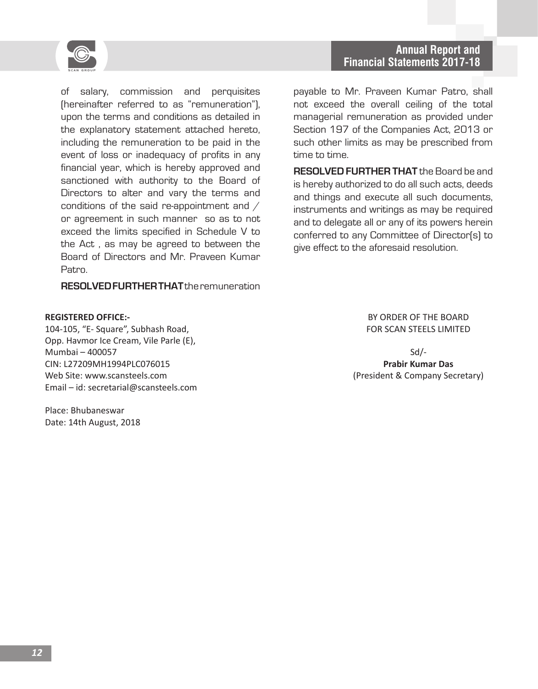

of salary, commission and perquisites (hereinafter referred to as "remuneration"), upon the terms and conditions as detailed in the explanatory statement attached hereto, including the remuneration to be paid in the event of loss or inadequacy of profits in any financial year, which is hereby approved and sanctioned with authority to the Board of Directors to alter and vary the terms and conditions of the said re-appointment and / or agreement in such manner so as to not exceed the limits specified in Schedule V to the Act , as may be agreed to between the Board of Directors and Mr. Praveen Kumar Patro.

**RESOLVED FURTHER THAT** the remuneration

#### **REGISTERED OFFICE:-**

104-105, "E- Square", Subhash Road, Opp. Havmor Ice Cream, Vile Parle (E), Mumbai – 400057 CIN: L27209MH1994PLC076015 Web Site: www.scansteels.com Email – id: secretarial@scansteels.com

Place: Bhubaneswar Date: 14th August, 2018

payable to Mr. Praveen Kumar Patro, shall not exceed the overall ceiling of the total managerial remuneration as provided under Section 197 of the Companies Act, 2013 or such other limits as may be prescribed from time to time.

**RESOLVED FURTHER THAT** the Board be and is hereby authorized to do all such acts, deeds and things and execute all such documents, instruments and writings as may be required and to delegate all or any of its powers herein conferred to any Committee of Director(s) to give effect to the aforesaid resolution.

> BY ORDER OF THE BOARD FOR SCAN STEELS LIMITED

Sd/- **Prabir Kumar Das** (President & Company Secretary)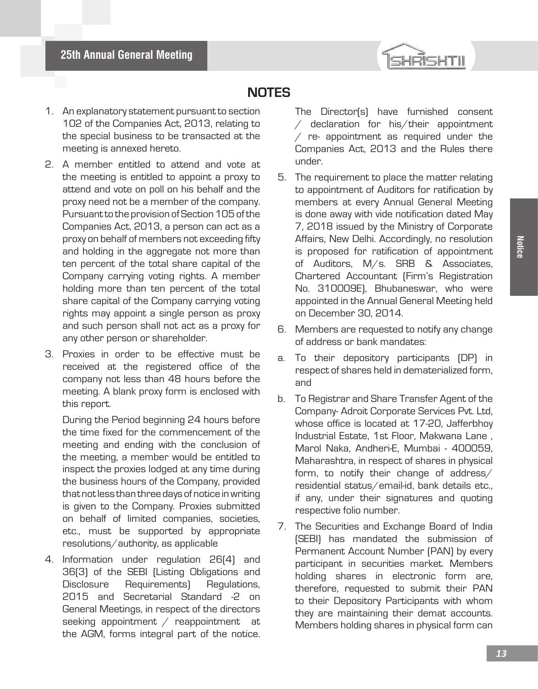

# **NOTES**

- 1. An explanatory statement pursuant to section 102 of the Companies Act, 2013, relating to the special business to be transacted at the meeting is annexed hereto.
- 2. A member entitled to attend and vote at the meeting is entitled to appoint a proxy to attend and vote on poll on his behalf and the proxy need not be a member of the company. Pursuant to the provision of Section 105 of the Companies Act, 2013, a person can act as a proxy on behalf of members not exceeding fifty and holding in the aggregate not more than ten percent of the total share capital of the Company carrying voting rights. A member holding more than ten percent of the total share capital of the Company carrying voting rights may appoint a single person as proxy and such person shall not act as a proxy for any other person or shareholder.
- 3. Proxies in order to be effective must be received at the registered office of the company not less than 48 hours before the meeting. A blank proxy form is enclosed with this report.

During the Period beginning 24 hours before the time fixed for the commencement of the meeting and ending with the conclusion of the meeting, a member would be entitled to inspect the proxies lodged at any time during the business hours of the Company, provided that not less than three days of notice in writing is given to the Company. Proxies submitted on behalf of limited companies, societies, etc., must be supported by appropriate resolutions/authority, as applicable

4. Information under regulation 26(4) and 36(3) of the SEBI (Listing Obligations and Disclosure Requirements) Regulations, 2015 and Secretarial Standard -2 on General Meetings, in respect of the directors seeking appointment / reappointment at the AGM, forms integral part of the notice.

- The Director(s) have furnished consent / declaration for his/their appointment  $/$  re- appointment as required under the Companies Act, 2013 and the Rules there under.
- 5. The requirement to place the matter relating to appointment of Auditors for ratification by members at every Annual General Meeting is done away with vide notification dated May 7, 2018 issued by the Ministry of Corporate Affairs, New Delhi. Accordingly, no resolution is proposed for ratification of appointment of Auditors, M/s. SRB & Associates, Chartered Accountant (Firm's Registration No. 310009E), Bhubaneswar, who were appointed in the Annual General Meeting held on December 30, 2014.
- 6. Members are requested to notify any change of address or bank mandates:
- a. To their depository participants (DP) in respect of shares held in dematerialized form, and
- b. To Registrar and Share Transfer Agent of the Company- Adroit Corporate Services Pvt. Ltd, whose office is located at 17-20, Jafferbhoy Industrial Estate, 1st Floor, Makwana Lane , Marol Naka, Andheri-E, Mumbai - 400059, Maharashtra, in respect of shares in physical form, to notify their change of address/ residential status/email-id, bank details etc., if any, under their signatures and quoting respective folio number.
- 7. The Securities and Exchange Board of India (SEBI) has mandated the submission of Permanent Account Number (PAN) by every participant in securities market. Members holding shares in electronic form are, therefore, requested to submit their PAN to their Depository Participants with whom they are maintaining their demat accounts. Members holding shares in physical form can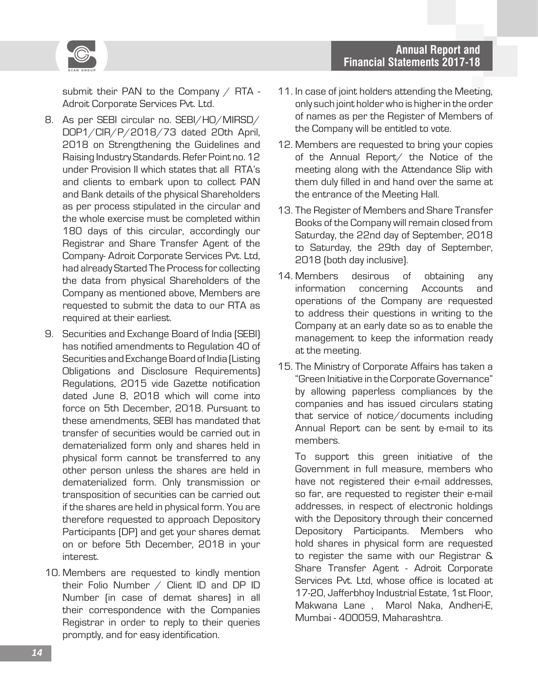



submit their PAN to the Company / RTA -Adroit Corporate Services Pvt. Ltd.

- 8. As per SEBI circular no. SEBI/HO/MIRSD/ DOP1/CIR/P/2018/73 dated 20th April, 2018 on Strengthening the Guidelines and Raising Industry Standards. Refer Point no. 12 under Provision II which states that all RTA's and clients to embark upon to collect PAN and Bank details of the physical Shareholders as per process stipulated in the circular and the whole exercise must be completed within 180 days of this circular, accordingly our Registrar and Share Transfer Agent of the Company- Adroit Corporate Services Pvt. Ltd, had already Started The Process for collecting the data from physical Shareholders of the Company as mentioned above, Members are requested to submit the data to our RTA as required at their earliest.
- 9. Securities and Exchange Board of India (SEBI) has notified amendments to Regulation 40 of Securities and Exchange Board of India (Listing Obligations and Disclosure Requirements) Regulations, 2015 vide Gazette notification dated June 8, 2018 which will come into force on 5th December, 2018. Pursuant to these amendments, SEBI has mandated that transfer of securities would be carried out in dematerialized form only and shares held in physical form cannot be transferred to any other person unless the shares are held in dematerialized form. Only transmission or transposition of securities can be carried out if the shares are held in physical form. You are therefore requested to approach Depository Participants (DP) and get your shares demat on or before 5th December, 2018 in your interest.
- 10. Members are requested to kindly mention their Folio Number / Client ID and DP ID Number (in case of demat shares) in all their correspondence with the Companies Registrar in order to reply to their queries promptly, and for easy identification.
- 11. In case of joint holders attending the Meeting, only such joint holder who is higher in the order of names as per the Register of Members of the Company will be entitled to vote.
- 12. Members are requested to bring your copies of the Annual Report/ the Notice of the meeting along with the Attendance Slip with them duly filled in and hand over the same at the entrance of the Meeting Hall.
- 13. The Register of Members and Share Transfer Books of the Company will remain closed from Saturday, the 22nd day of September, 2018 to Saturday, the 29th day of September, 2018 (both day inclusive).
- 14. Members desirous of obtaining any information concerning Accounts and operations of the Company are requested to address their questions in writing to the Company at an early date so as to enable the management to keep the information ready at the meeting.
- 15. The Ministry of Corporate Affairs has taken a "Green Initiative in the Corporate Governance" by allowing paperless compliances by the companies and has issued circulars stating that service of notice/documents including Annual Report can be sent by e-mail to its members.

To support this green initiative of the Government in full measure, members who have not registered their e-mail addresses, so far, are requested to register their e-mail addresses, in respect of electronic holdings with the Depository through their concerned Depository Participants. Members who hold shares in physical form are requested to register the same with our Registrar & Share Transfer Agent - Adroit Corporate Services Pvt. Ltd, whose office is located at 17-20, Jafferbhoy Industrial Estate, 1st Floor, Makwana Lane , Marol Naka, Andheri-E, Mumbai - 400059, Maharashtra.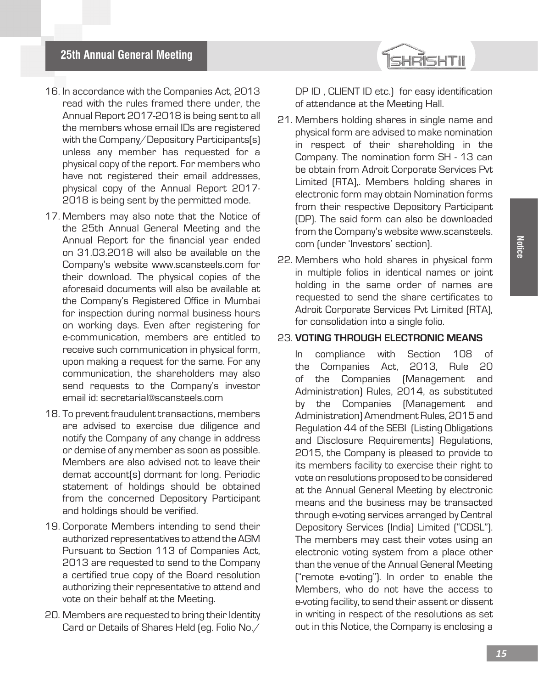

- 16. In accordance with the Companies Act, 2013 read with the rules framed there under, the Annual Report 2017-2018 is being sent to all the members whose email IDs are registered with the Company/Depository Participants(s) unless any member has requested for a physical copy of the report. For members who have not registered their email addresses, physical copy of the Annual Report 2017- 2018 is being sent by the permitted mode.
- 17. Members may also note that the Notice of the 25th Annual General Meeting and the Annual Report for the financial year ended on 31.03.2018 will also be available on the Company's website www.scansteels.com for their download. The physical copies of the aforesaid documents will also be available at the Company's Registered Office in Mumbai for inspection during normal business hours on working days. Even after registering for e-communication, members are entitled to receive such communication in physical form, upon making a request for the same. For any communication, the shareholders may also send requests to the Company's investor email id: secretarial@scansteels.com
- 18. To prevent fraudulent transactions, members are advised to exercise due diligence and notify the Company of any change in address or demise of any member as soon as possible. Members are also advised not to leave their demat account(s) dormant for long. Periodic statement of holdings should be obtained from the concerned Depository Participant and holdings should be verified.
- 19. Corporate Members intending to send their authorized representatives to attend the AGM Pursuant to Section 113 of Companies Act, 2013 are requested to send to the Company a certified true copy of the Board resolution authorizing their representative to attend and vote on their behalf at the Meeting.
- 20. Members are requested to bring their Identity Card or Details of Shares Held (eg. Folio No./

DP ID, CLIENT ID etc.) for easy identification of attendance at the Meeting Hall.

- 21. Members holding shares in single name and physical form are advised to make nomination in respect of their shareholding in the Company. The nomination form SH - 13 can be obtain from Adroit Corporate Services Pvt Limited (RTA),. Members holding shares in electronic form may obtain Nomination forms from their respective Depository Participant (DP). The said form can also be downloaded from the Company's website www.scansteels. com (under 'Investors' section).
- 22. Members who hold shares in physical form in multiple folios in identical names or joint holding in the same order of names are requested to send the share certificates to Adroit Corporate Services Pvt Limited (RTA), for consolidation into a single folio.

#### 23. **VOTING THROUGH ELECTRONIC MEANS**

In compliance with Section 108 of the Companies Act, 2013, Rule 20 of the Companies (Management and Administration) Rules, 2014, as substituted by the Companies (Management and Administration) Amendment Rules, 2015 and Regulation 44 of the SEBI (Listing Obligations and Disclosure Requirements) Regulations, 2015, the Company is pleased to provide to its members facility to exercise their right to vote on resolutions proposed to be considered at the Annual General Meeting by electronic means and the business may be transacted through e-voting services arranged by Central Depository Services (India) Limited ("CDSL"). The members may cast their votes using an electronic voting system from a place other than the venue of the Annual General Meeting ("remote e-voting"). In order to enable the Members, who do not have the access to e-voting facility, to send their assent or dissent in writing in respect of the resolutions as set out in this Notice, the Company is enclosing a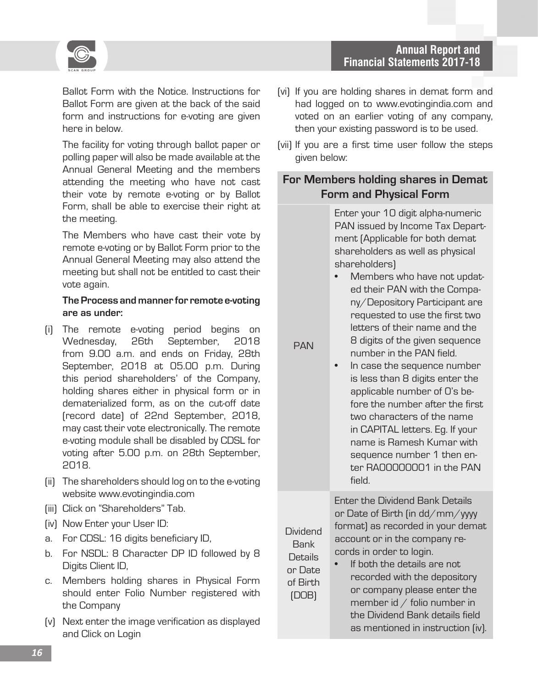



Ballot Form with the Notice. Instructions for Ballot Form are given at the back of the said form and instructions for e-voting are given here in below.

The facility for voting through ballot paper or polling paper will also be made available at the Annual General Meeting and the members attending the meeting who have not cast their vote by remote e-voting or by Ballot Form, shall be able to exercise their right at the meeting.

The Members who have cast their vote by remote e-voting or by Ballot Form prior to the Annual General Meeting may also attend the meeting but shall not be entitled to cast their vote again.

#### **The Process and manner for remote e-voting are as under:**

- (i) The remote e-voting period begins on Wednesday, 26th September, 2018 from 9.00 a.m. and ends on Friday, 28th September, 2018 at 05.00 p.m. During this period shareholders' of the Company, holding shares either in physical form or in dematerialized form, as on the cut-off date (record date) of 22nd September, 2018, may cast their vote electronically. The remote e-voting module shall be disabled by CDSL for voting after 5.00 p.m. on 28th September, 2018.
- (ii) The shareholders should log on to the e-voting website www.evotingindia.com
- (iii) Click on "Shareholders" Tab.
- (iv) Now Enter your User ID:
- a. For CDSL: 16 digits beneficiary ID,
- b. For NSDL: 8 Character DP ID followed by 8 Digits Client ID,
- c. Members holding shares in Physical Form should enter Folio Number registered with the Company
- (v) Next enter the image verification as displayed and Click on Login
- (vi) If you are holding shares in demat form and had logged on to www.evotingindia.com and voted on an earlier voting of any company, then your existing password is to be used.
- (vii) If you are a first time user follow the steps given below:

### **For Members holding shares in Demat Form and Physical Form**

Enter your 10 digit alpha-numeric PAN issued by Income Tax Department (Applicable for both demat shareholders as well as physical shareholders)

• Members who have not updated their PAN with the Company/Depository Participant are requested to use the first two letters of their name and the 8 digits of the given sequence number in the PAN field.

PAN

Dividend Bank **Details** or Date of Birth (DOB)

In case the sequence number is less than 8 digits enter the applicable number of 0's before the number after the first two characters of the name in CAPITAL letters. Eg. If your name is Ramesh Kumar with sequence number 1 then enter RA00000001 in the PAN field.

Enter the Dividend Bank Details or Date of Birth (in dd/mm/yyyy format) as recorded in your demat account or in the company records in order to login.

If both the details are not recorded with the depository or company please enter the member id  $/$  folio number in the Dividend Bank details field as mentioned in instruction (iv).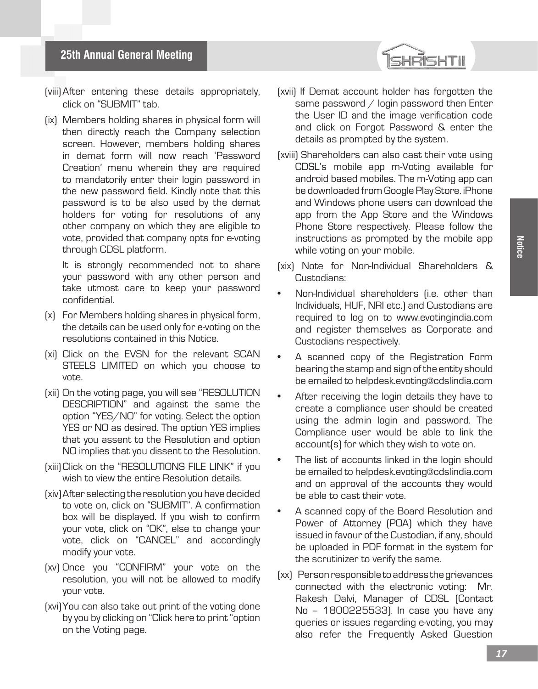- (viii)After entering these details appropriately, click on "SUBMIT" tab.
- (ix) Members holding shares in physical form will then directly reach the Company selection screen. However, members holding shares in demat form will now reach 'Password Creation' menu wherein they are required to mandatorily enter their login password in the new password field. Kindly note that this password is to be also used by the demat holders for voting for resolutions of any other company on which they are eligible to vote, provided that company opts for e-voting through CDSL platform.

It is strongly recommended not to share your password with any other person and take utmost care to keep your password confidential.

- (x) For Members holding shares in physical form, the details can be used only for e-voting on the resolutions contained in this Notice.
- (xi) Click on the EVSN for the relevant SCAN STEELS LIMITED on which you choose to vote.
- (xii) On the voting page, you will see "RESOLUTION DESCRIPTION" and against the same the option "YES/NO" for voting. Select the option YES or NO as desired. The option YES implies that you assent to the Resolution and option NO implies that you dissent to the Resolution.
- (xiii)Click on the "RESOLUTIONS FILE LINK" if you wish to view the entire Resolution details.
- (xiv)After selecting the resolution you have decided to vote on, click on "SUBMIT". A confirmation box will be displayed. If you wish to confirm your vote, click on "OK", else to change your vote, click on "CANCEL" and accordingly modify your vote.
- (xv) Once you "CONFIRM" your vote on the resolution, you will not be allowed to modify your vote.
- (xvi)You can also take out print of the voting done by you by clicking on "Click here to print "option on the Voting page.
- (xvii) If Demat account holder has forgotten the same password / login password then Enter the User ID and the image verification code and click on Forgot Password & enter the details as prompted by the system.
- (xviii) Shareholders can also cast their vote using CDSL's mobile app m-Voting available for android based mobiles. The m-Voting app can be downloaded from Google Play Store. iPhone and Windows phone users can download the app from the App Store and the Windows Phone Store respectively. Please follow the instructions as prompted by the mobile app while voting on your mobile.
- (xix) Note for Non-Individual Shareholders & Custodians:
- Non-Individual shareholders (i.e. other than Individuals, HUF, NRI etc.) and Custodians are required to log on to www.evotingindia.com and register themselves as Corporate and Custodians respectively.
- A scanned copy of the Registration Form bearing the stamp and sign of the entity should be emailed to helpdesk.evoting@cdslindia.com
- After receiving the login details they have to create a compliance user should be created using the admin login and password. The Compliance user would be able to link the account(s) for which they wish to vote on.
- The list of accounts linked in the login should be emailed to helpdesk.evoting@cdslindia.com and on approval of the accounts they would be able to cast their vote.
- A scanned copy of the Board Resolution and Power of Attorney (POA) which they have issued in favour of the Custodian, if any, should be uploaded in PDF format in the system for the scrutinizer to verify the same.
- (xx) Person responsible to address the grievances connected with the electronic voting: Mr. Rakesh Dalvi, Manager of CDSL (Contact No – 1800225533). In case you have any queries or issues regarding e-voting, you may also refer the Frequently Asked Question

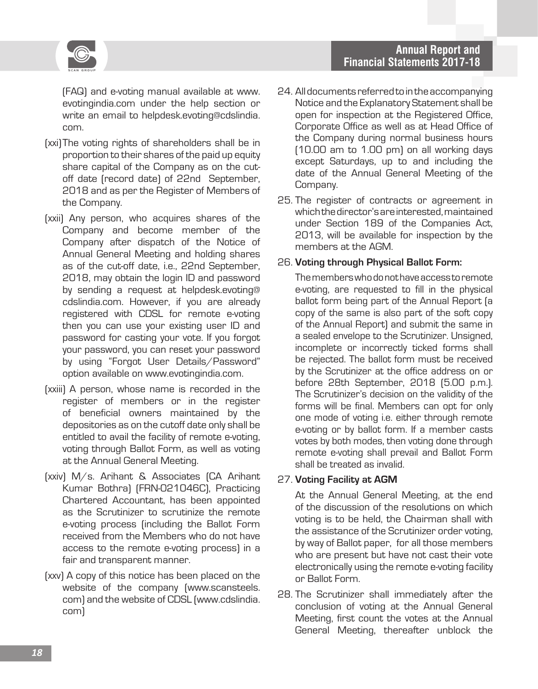

(FAQ) and e-voting manual available at www. evotingindia.com under the help section or write an email to helpdesk.evoting@cdslindia. com.

- (xxi)The voting rights of shareholders shall be in proportion to their shares of the paid up equity share capital of the Company as on the cutoff date (record date) of 22nd September, 2018 and as per the Register of Members of the Company.
- (xxii) Any person, who acquires shares of the Company and become member of the Company after dispatch of the Notice of Annual General Meeting and holding shares as of the cut-off date, i.e., 22nd September, 2018, may obtain the login ID and password by sending a request at helpdesk.evoting@ cdslindia.com. However, if you are already registered with CDSL for remote e-voting then you can use your existing user ID and password for casting your vote. If you forgot your password, you can reset your password by using "Forgot User Details/Password" option available on www.evotingindia.com.
- (xxiii) A person, whose name is recorded in the register of members or in the register of beneficial owners maintained by the depositories as on the cutoff date only shall be entitled to avail the facility of remote e-voting, voting through Ballot Form, as well as voting at the Annual General Meeting.
- (xxiv) M/s. Arihant & Associates (CA Arihant Kumar Bothra) (FRN-021046C), Practicing Chartered Accountant, has been appointed as the Scrutinizer to scrutinize the remote e-voting process (including the Ballot Form received from the Members who do not have access to the remote e-voting process) in a fair and transparent manner.
- (xxv) A copy of this notice has been placed on the website of the company (www.scansteels. com) and the website of CDSL (www.cdslindia. com)
- 24. All documents referred to in the accompanying Notice and the Explanatory Statement shall be open for inspection at the Registered Office, Corporate Office as well as at Head Office of the Company during normal business hours (10.00 am to 1.00 pm) on all working days except Saturdays, up to and including the date of the Annual General Meeting of the Company.
- 25. The register of contracts or agreement in which the director's are interested, maintained under Section 189 of the Companies Act, 2013, will be available for inspection by the members at the AGM.

#### 26. **Voting through Physical Ballot Form:**

The members who do not have access to remote e-voting, are requested to fill in the physical ballot form being part of the Annual Report (a copy of the same is also part of the soft copy of the Annual Report) and submit the same in a sealed envelope to the Scrutinizer. Unsigned, incomplete or incorrectly ticked forms shall be rejected. The ballot form must be received by the Scrutinizer at the office address on or before 28th September, 2018 (5.00 p.m.). The Scrutinizer's decision on the validity of the forms will be final. Members can opt for only one mode of voting i.e. either through remote e-voting or by ballot form. If a member casts votes by both modes, then voting done through remote e-voting shall prevail and Ballot Form shall be treated as invalid.

#### 27. **Voting Facility at AGM**

At the Annual General Meeting, at the end of the discussion of the resolutions on which voting is to be held, the Chairman shall with the assistance of the Scrutinizer order voting, by way of Ballot paper, for all those members who are present but have not cast their vote electronically using the remote e-voting facility or Ballot Form.

28. The Scrutinizer shall immediately after the conclusion of voting at the Annual General Meeting, first count the votes at the Annual General Meeting, thereafter unblock the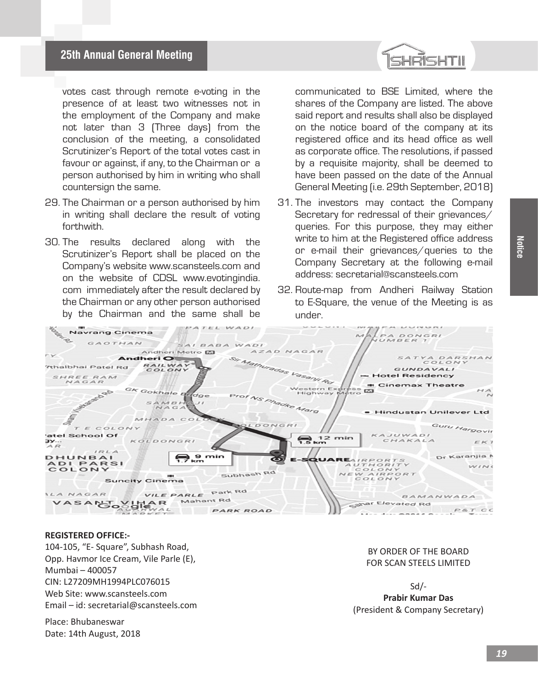

votes cast through remote e-voting in the presence of at least two witnesses not in the employment of the Company and make not later than 3 (Three days) from the conclusion of the meeting, a consolidated Scrutinizer's Report of the total votes cast in favour or against, if any, to the Chairman or a person authorised by him in writing who shall countersign the same.

- 29. The Chairman or a person authorised by him in writing shall declare the result of voting forthwith.
- 30. The results declared along with the Scrutinizer's Report shall be placed on the Company's website www.scansteels.com and on the website of CDSL www.evotingindia. com immediately after the result declared by the Chairman or any other person authorised by the Chairman and the same shall be

communicated to BSE Limited, where the shares of the Company are listed. The above said report and results shall also be displayed on the notice board of the company at its registered office and its head office as well as corporate office. The resolutions, if passed by a requisite majority, shall be deemed to have been passed on the date of the Annual General Meeting (i.e. 29th September, 2018)

- 31. The investors may contact the Company Secretary for redressal of their grievances/ queries. For this purpose, they may either write to him at the Registered office address or e-mail their grievances/queries to the Company Secretary at the following e-mail address: secretarial@scansteels.com
- 32. Route-map from Andheri Railway Station to E-Square, the venue of the Meeting is as under.



#### **REGISTERED OFFICE:-**

104-105, "E- Square", Subhash Road, Opp. Havmor Ice Cream, Vile Parle (E), Mumbai – 400057 CIN: L27209MH1994PLC076015 Web Site: www.scansteels.com Email – id: secretarial@scansteels.com

Place: Bhubaneswar Date: 14th August, 2018

#### BY ORDER OF THE BOARD FOR SCAN STEELS LIMITED

Sd/- **Prabir Kumar Das** (President & Company Secretary)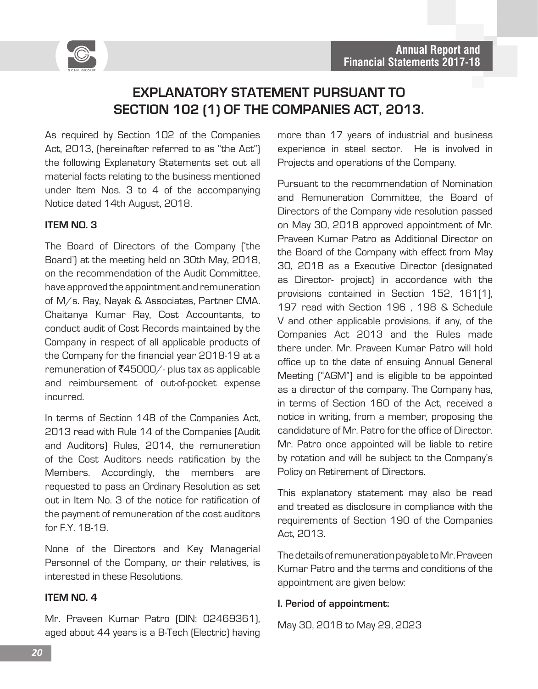

# **EXPLANATORY STATEMENT PURSUANT TO SECTION 102 (1) OF THE COMPANIES ACT, 2013.**

As required by Section 102 of the Companies Act, 2013, (hereinafter referred to as "the Act") the following Explanatory Statements set out all material facts relating to the business mentioned under Item Nos. 3 to 4 of the accompanying Notice dated 14th August, 2018.

#### **ITEM NO. 3**

The Board of Directors of the Company ('the Board') at the meeting held on 30th May, 2018, on the recommendation of the Audit Committee, have approved the appointment and remuneration of M/s. Ray, Nayak & Associates, Partner CMA. Chaitanya Kumar Ray, Cost Accountants, to conduct audit of Cost Records maintained by the Company in respect of all applicable products of the Company for the financial year 2018-19 at a remuneration of  $\overline{\zeta}45000/-$  plus tax as applicable and reimbursement of out-of-pocket expense incurred.

In terms of Section 148 of the Companies Act, 2013 read with Rule 14 of the Companies (Audit and Auditors) Rules, 2014, the remuneration of the Cost Auditors needs ratification by the Members. Accordingly, the members are requested to pass an Ordinary Resolution as set out in Item No. 3 of the notice for ratification of the payment of remuneration of the cost auditors for F.Y. 18-19.

None of the Directors and Key Managerial Personnel of the Company, or their relatives, is interested in these Resolutions.

#### **ITEM NO. 4**

Mr. Praveen Kumar Patro (DIN: 02469361), aged about 44 years is a B-Tech (Electric) having more than 17 years of industrial and business experience in steel sector. He is involved in Projects and operations of the Company.

Pursuant to the recommendation of Nomination and Remuneration Committee, the Board of Directors of the Company vide resolution passed on May 30, 2018 approved appointment of Mr. Praveen Kumar Patro as Additional Director on the Board of the Company with effect from May 30, 2018 as a Executive Director (designated as Director- project) in accordance with the provisions contained in Section 152, 161(1), 197 read with Section 196 , 198 & Schedule V and other applicable provisions, if any, of the Companies Act 2013 and the Rules made there under. Mr. Praveen Kumar Patro will hold office up to the date of ensuing Annual General Meeting ("AGM") and is eligible to be appointed as a director of the company. The Company has, in terms of Section 160 of the Act, received a notice in writing, from a member, proposing the candidature of Mr. Patro for the office of Director. Mr. Patro once appointed will be liable to retire by rotation and will be subject to the Company's Policy on Retirement of Directors.

This explanatory statement may also be read and treated as disclosure in compliance with the requirements of Section 190 of the Companies Act, 2013.

The details of remuneration payable to Mr. Praveen Kumar Patro and the terms and conditions of the appointment are given below:

#### **I. Period of appointment:**

May 30, 2018 to May 29, 2023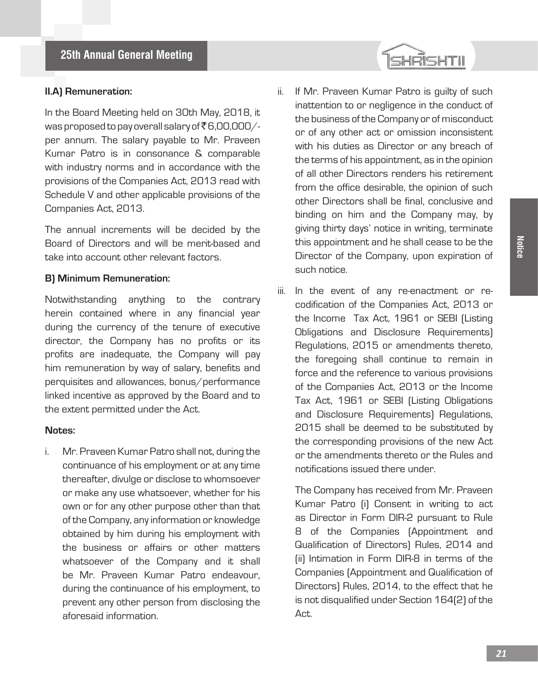#### **II.A) Remuneration:**

In the Board Meeting held on 30th May, 2018, it was proposed to pay overall salary of  $\bar{\bar{\mathcal{E}}}$  6,00,000/per annum. The salary payable to Mr. Praveen Kumar Patro is in consonance & comparable with industry norms and in accordance with the provisions of the Companies Act, 2013 read with Schedule V and other applicable provisions of the Companies Act, 2013.

The annual increments will be decided by the Board of Directors and will be merit-based and take into account other relevant factors.

#### **B) Minimum Remuneration:**

Notwithstanding anything to the contrary herein contained where in any financial year during the currency of the tenure of executive director, the Company has no profits or its profits are inadequate, the Company will pay him remuneration by way of salary, benefits and perquisites and allowances, bonus/performance linked incentive as approved by the Board and to the extent permitted under the Act.

#### **Notes:**

i. Mr. Praveen Kumar Patro shall not, during the continuance of his employment or at any time thereafter, divulge or disclose to whomsoever or make any use whatsoever, whether for his own or for any other purpose other than that of the Company, any information or knowledge obtained by him during his employment with the business or affairs or other matters whatsoever of the Company and it shall be Mr. Praveen Kumar Patro endeavour, during the continuance of his employment, to prevent any other person from disclosing the aforesaid information.

ii. If Mr. Praveen Kumar Patro is guilty of such inattention to or negligence in the conduct of the business of the Company or of misconduct or of any other act or omission inconsistent with his duties as Director or any breach of the terms of his appointment, as in the opinion of all other Directors renders his retirement from the office desirable, the opinion of such other Directors shall be final, conclusive and binding on him and the Company may, by giving thirty days' notice in writing, terminate this appointment and he shall cease to be the Director of the Company, upon expiration of such notice.

SHRISHTII

iii. In the event of any re-enactment or recodification of the Companies Act, 2013 or the Income Tax Act, 1961 or SEBI (Listing Obligations and Disclosure Requirements) Regulations, 2015 or amendments thereto, the foregoing shall continue to remain in force and the reference to various provisions of the Companies Act, 2013 or the Income Tax Act, 1961 or SEBI (Listing Obligations and Disclosure Requirements) Regulations, 2015 shall be deemed to be substituted by the corresponding provisions of the new Act or the amendments thereto or the Rules and notifications issued there under.

The Company has received from Mr. Praveen Kumar Patro (i) Consent in writing to act as Director in Form DIR-2 pursuant to Rule 8 of the Companies (Appointment and Qualification of Directors) Rules, 2014 and (ii) Intimation in Form DIR-8 in terms of the Companies (Appointment and Qualification of Directors) Rules, 2014, to the effect that he is not disqualified under Section 164(2) of the Act.

**Notice**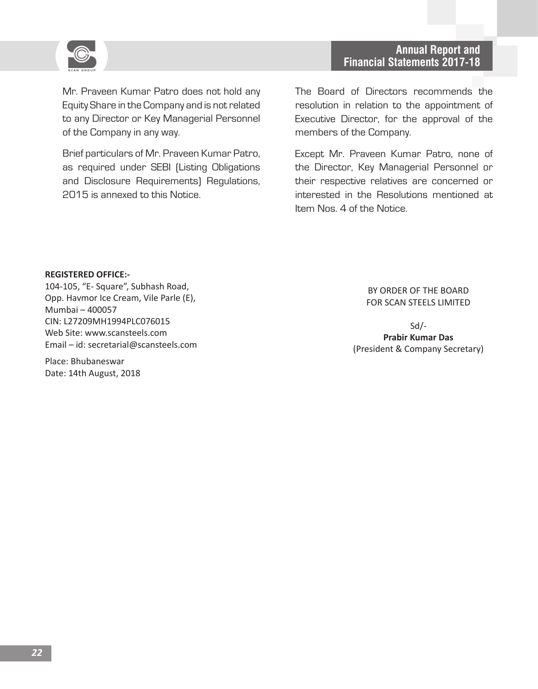

Mr. Praveen Kumar Patro does not hold any Equity Share in the Company and is not related to any Director or Key Managerial Personnel of the Company in any way.

Brief particulars of Mr. Praveen Kumar Patro, as required under SEBI (Listing Obligations and Disclosure Requirements) Regulations, 2015 is annexed to this Notice.

The Board of Directors recommends the resolution in relation to the appointment of Executive Director, for the approval of the members of the Company.

Except Mr. Praveen Kumar Patro, none of the Director, Key Managerial Personnel or their respective relatives are concerned or interested in the Resolutions mentioned at Item Nos. 4 of the Notice.

#### **REGISTERED OFFICE:-**

104-105, "E- Square", Subhash Road, Opp. Havmor Ice Cream, Vile Parle (E), Mumbai – 400057 CIN: L27209MH1994PLC076015 Web Site: www.scansteels.com Email – id: secretarial@scansteels.com

Place: Bhubaneswar Date: 14th August, 2018

#### BY ORDER OF THE BOARD FOR SCAN STEELS LIMITED

Sd/- **Prabir Kumar Das** (President & Company Secretary)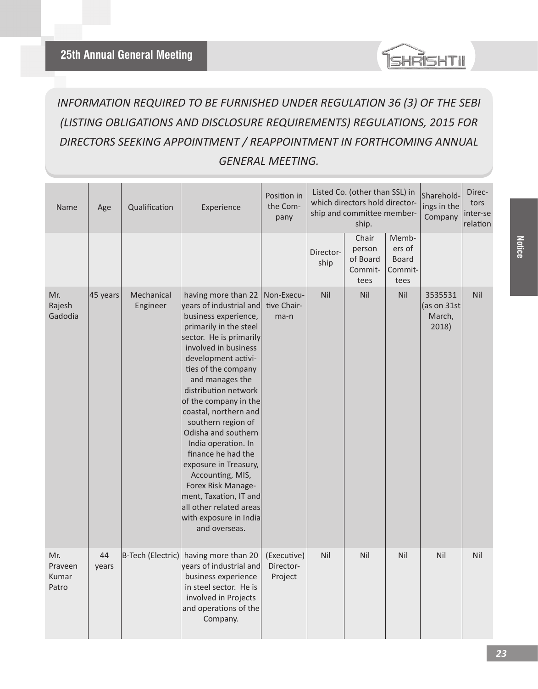

# *INFORMATION REQUIRED TO BE FURNISHED UNDER REGULATION 36 (3) OF THE SEBI (LISTING OBLIGATIONS AND DISCLOSURE REQUIREMENTS) REGULATIONS, 2015 FOR DIRECTORS SEEKING APPOINTMENT / REAPPOINTMENT IN FORTHCOMING ANNUAL GENERAL MEETING.*

| Name                             | Age         | Qualification          | Experience                                                                                                                                                                                                                                                                                                                                                                                                                                                                                                                                                  | Position in<br>the Com-<br>pany     | Listed Co. (other than SSL) in<br>which directors hold director-<br>ship and committee member-<br>ship. |                                                | Sharehold-<br>ings in the<br>Company               | Direc-<br>tors<br>inter-se<br>relation    |     |
|----------------------------------|-------------|------------------------|-------------------------------------------------------------------------------------------------------------------------------------------------------------------------------------------------------------------------------------------------------------------------------------------------------------------------------------------------------------------------------------------------------------------------------------------------------------------------------------------------------------------------------------------------------------|-------------------------------------|---------------------------------------------------------------------------------------------------------|------------------------------------------------|----------------------------------------------------|-------------------------------------------|-----|
|                                  |             |                        |                                                                                                                                                                                                                                                                                                                                                                                                                                                                                                                                                             |                                     | Director-<br>ship                                                                                       | Chair<br>person<br>of Board<br>Commit-<br>tees | Memb-<br>ers of<br><b>Board</b><br>Commit-<br>tees |                                           |     |
| Mr.<br>Rajesh<br>Gadodia         | 45 years    | Mechanical<br>Engineer | having more than 22<br>years of industrial and<br>business experience,<br>primarily in the steel<br>sector. He is primarily<br>involved in business<br>development activi-<br>ties of the company<br>and manages the<br>distribution network<br>of the company in the<br>coastal, northern and<br>southern region of<br>Odisha and southern<br>India operation. In<br>finance he had the<br>exposure in Treasury,<br>Accounting, MIS,<br>Forex Risk Manage-<br>ment, Taxation, IT and<br>all other related areas<br>with exposure in India<br>and overseas. | Non-Execu-<br>tive Chair-<br>ma-n   | Nil                                                                                                     | Nil                                            | Nil                                                | 3535531<br>(as on 31st<br>March,<br>2018) | Nil |
| Mr.<br>Praveen<br>Kumar<br>Patro | 44<br>years | B-Tech (Electric)      | having more than 20<br>years of industrial and<br>business experience<br>in steel sector. He is<br>involved in Projects<br>and operations of the<br>Company.                                                                                                                                                                                                                                                                                                                                                                                                | (Executive)<br>Director-<br>Project | Nil                                                                                                     | Nil                                            | Nil                                                | Nil                                       | Nil |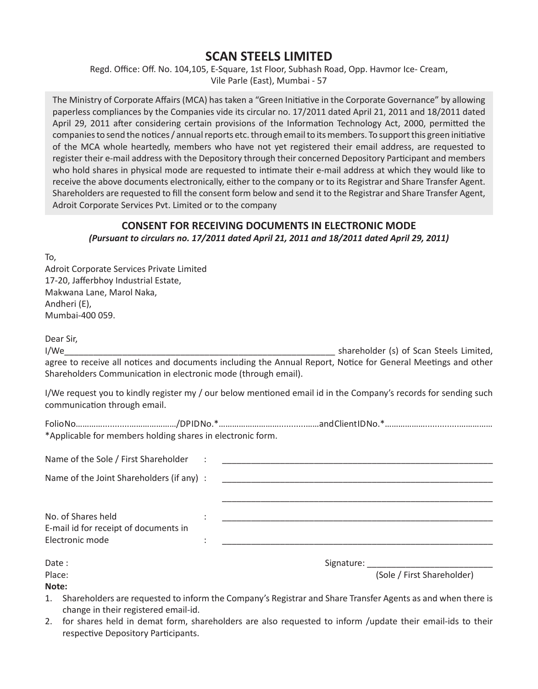**Financial Statements 2017-18 25th Annual General Meeting** Regd. Office: Off. No. 104,105, E-Square, 1st Floor, Subhash Road, Opp. Havmor Ice- Cream, Vile Parle (East), Mumbai - 57

> The Ministry of Corporate Affairs (MCA) has taken a "Green Initiative in the Corporate Governance" by allowing paperless compliances by the Companies vide its circular no. 17/2011 dated April 21, 2011 and 18/2011 dated April 29, 2011 after considering certain provisions of the Information Technology Act, 2000, permitted the companies to send the notices / annual reports etc. through email to its members. To support this green initiative of the MCA whole heartedly, members who have not yet registered their email address, are requested to register their e-mail address with the Depository through their concerned Depository Participant and members who hold shares in physical mode are requested to intimate their e-mail address at which they would like to receive the above documents electronically, either to the company or to its Registrar and Share Transfer Agent. Shareholders are requested to fill the consent form below and send it to the Registrar and Share Transfer Agent, Adroit Corporate Services Pvt. Limited or to the company

#### **CONSENT FOR RECEIVING DOCUMENTS IN ELECTRONIC MODE** *(Pursuant to circulars no. 17/2011 dated April 21, 2011 and 18/2011 dated April 29, 2011)*

To,

Adroit Corporate Services Private Limited 17-20, Jafferbhoy Industrial Estate, Makwana Lane, Marol Naka, Andheri (E), Mumbai-400 059.

Dear Sir, I/We **I** and the state of the state of the shareholder (s) of Scan Steels Limited, agree to receive all notices and documents including the Annual Report, Notice for General Meetings and other Shareholders Communication in electronic mode (through email).

I/We request you to kindly register my / our below mentioned email id in the Company's records for sending such communication through email.

| *Applicable for members holding shares in electronic form. |  |  |
|------------------------------------------------------------|--|--|

| Name of the Sole / First Shareholder                                                |                                          |
|-------------------------------------------------------------------------------------|------------------------------------------|
| Name of the Joint Shareholders (if any) :                                           |                                          |
| No. of Shares held<br>E-mail id for receipt of documents in<br>Electronic mode<br>٠ |                                          |
| Date:<br>Place:<br>Note:                                                            | Signature:<br>(Sole / First Shareholder) |

1. Shareholders are requested to inform the Company's Registrar and Share Transfer Agents as and when there is change in their registered email-id.

2. for shares held in demat form, shareholders are also requested to inform /update their email-ids to their respective Depository Participants.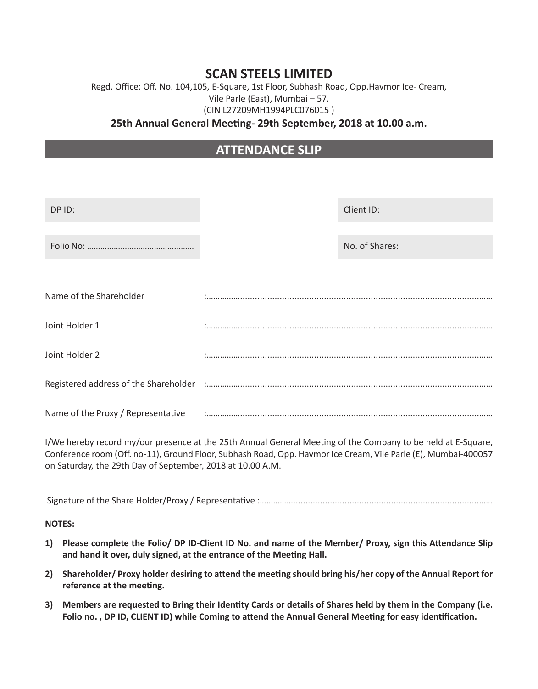### Regd. Office: Off. No. 104,105, E-Square, 1st Floor, Subhash Road, Opp.Havmor Ice- Cream, Vile Parle (East), Mumbai – 57. (CIN L27209MH1994PLC076015 )

#### **25th Annual General Meeting- 29th September, 2018 at 10.00 a.m.**

# **ATTENDANCE SLIP**

| DP ID:                             | Client ID:     |  |  |
|------------------------------------|----------------|--|--|
|                                    | No. of Shares: |  |  |
| Name of the Shareholder            |                |  |  |
| Joint Holder 1                     |                |  |  |
| Joint Holder 2                     |                |  |  |
|                                    |                |  |  |
| Name of the Proxy / Representative |                |  |  |

I/We hereby record my/our presence at the 25th Annual General Meeting of the Company to be held at E-Square, Conference room (Off. no-11), Ground Floor, Subhash Road, Opp. Havmor Ice Cream, Vile Parle (E), Mumbai-400057 on Saturday, the 29th Day of September, 2018 at 10.00 A.M.

Signature of the Share Holder/Proxy / Representative :……………............................................................................……

**NOTES:** 

- **1) Please complete the Folio/ DP ID-Client ID No. and name of the Member/ Proxy, sign this Attendance Slip and hand it over, duly signed, at the entrance of the Meeting Hall.**
- **2) Shareholder/ Proxy holder desiring to attend the meeting should bring his/her copy of the Annual Report for reference at the meeting.**
- **3) Members are requested to Bring their Identity Cards or details of Shares held by them in the Company (i.e. Folio no. , DP ID, CLIENT ID) while Coming to attend the Annual General Meeting for easy identification.**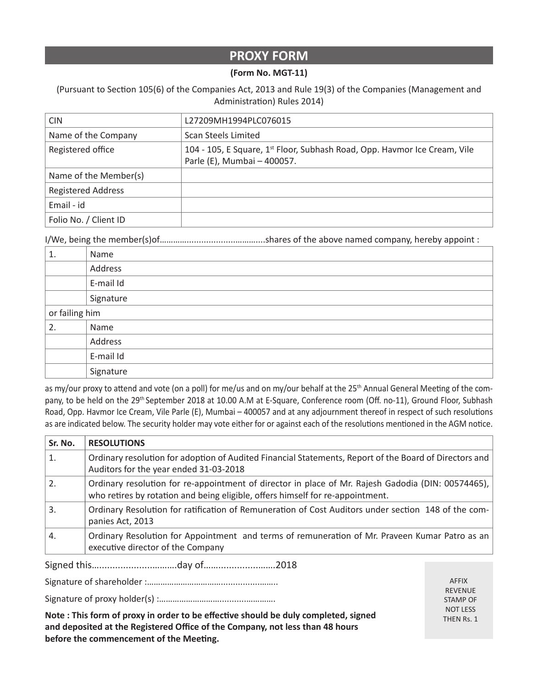### **PROXY FORM**

#### **(Form No. MGT-11)**

(Pursuant to Section 105(6) of the Companies Act, 2013 and Rule 19(3) of the Companies (Management and Administration) Rules 2014)

| <b>CIN</b>                | L27209MH1994PLC076015                                                                                                |
|---------------------------|----------------------------------------------------------------------------------------------------------------------|
| Name of the Company       | Scan Steels Limited                                                                                                  |
| Registered office         | 104 - 105, E Square, 1 <sup>st</sup> Floor, Subhash Road, Opp. Havmor Ice Cream, Vile<br>Parle (E), Mumbai - 400057. |
| Name of the Member(s)     |                                                                                                                      |
| <b>Registered Address</b> |                                                                                                                      |
| Email - id                |                                                                                                                      |
| Folio No. / Client ID     |                                                                                                                      |

I/We, being the member(s)of…………....................………....shares of the above named company, hereby appoint :

| 1.             | Name      |
|----------------|-----------|
|                | Address   |
|                | E-mail Id |
|                | Signature |
| or failing him |           |
| 2.             | Name      |
|                | Address   |
|                | E-mail Id |
|                | Signature |

as my/our proxy to attend and vote (on a poll) for me/us and on my/our behalf at the 25<sup>th</sup> Annual General Meeting of the company, to be held on the 29<sup>th</sup> September 2018 at 10.00 A.M at E-Square, Conference room (Off. no-11), Ground Floor, Subhash Road, Opp. Havmor Ice Cream, Vile Parle (E), Mumbai – 400057 and at any adjournment thereof in respect of such resolutions as are indicated below. The security holder may vote either for or against each of the resolutions mentioned in the AGM notice.

| Sr. No.          | <b>RESOLUTIONS</b>                                                                                                                                                                   |
|------------------|--------------------------------------------------------------------------------------------------------------------------------------------------------------------------------------|
| 1.               | Ordinary resolution for adoption of Audited Financial Statements, Report of the Board of Directors and<br>Auditors for the year ended 31-03-2018                                     |
| 2.               | Ordinary resolution for re-appointment of director in place of Mr. Rajesh Gadodia (DIN: 00574465),<br>who retires by rotation and being eligible, offers himself for re-appointment. |
| 3.               | Ordinary Resolution for ratification of Remuneration of Cost Auditors under section 148 of the com-<br>panies Act, 2013                                                              |
| $\overline{4}$ . | Ordinary Resolution for Appointment and terms of remuneration of Mr. Praveen Kumar Patro as an<br>executive director of the Company                                                  |
| Signed this      | day of<br>ንበ1 Ջ                                                                                                                                                                      |

Signed this…....................……….day of……...............…….2018

Signature of shareholder :……………………………................……..

**Financial Statements 2017-18 25th Annual General Meeting**

Signature of proxy holder(s) :………………………...........………….

**Note : This form of proxy in order to be effective should be duly completed, signed and deposited at the Registered Office of the Company, not less than 48 hours before the commencement of the Meeting.**

AFFIX REVENUE STAMP OF NOT LESS THEN Rs. 1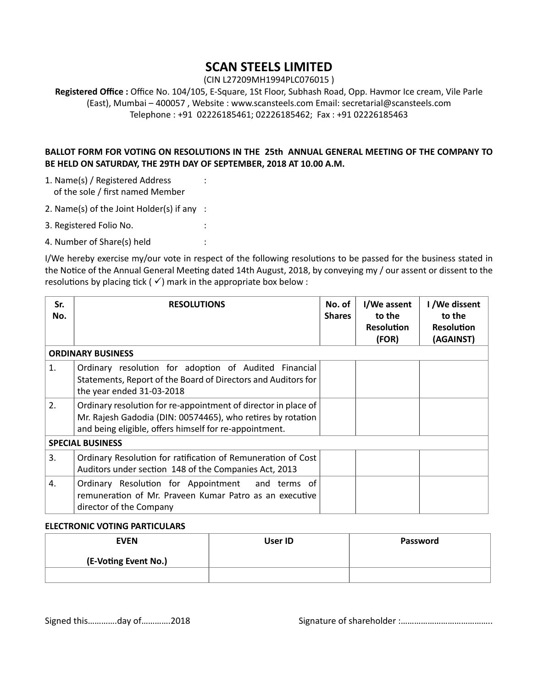(CIN L27209MH1994PLC076015 )

**Registered Office :** Office No. 104/105, E-Square, 1St Floor, Subhash Road, Opp. Havmor Ice cream, Vile Parle (East), Mumbai – 400057 , Website : www.scansteels.com Email: secretarial@scansteels.com Telephone : +91 02226185461; 02226185462; Fax : +91 02226185463

#### **BALLOT FORM FOR VOTING ON RESOLUTIONS IN THE 25th ANNUAL GENERAL MEETING OF THE COMPANY TO BE HELD ON SATURDAY, THE 29TH DAY OF SEPTEMBER, 2018 AT 10.00 A.M.**

- 1. Name(s) / Registered Address : of the sole / first named Member
- 2. Name(s) of the Joint Holder(s) if any :
- 3. Registered Folio No. :
- 4. Number of Share(s) held :

I/We hereby exercise my/our vote in respect of the following resolutions to be passed for the business stated in the Notice of the Annual General Meeting dated 14th August, 2018, by conveying my / our assent or dissent to the resolutions by placing tick ( $\checkmark$ ) mark in the appropriate box below :

| Sr.<br>No. | <b>RESOLUTIONS</b>                                                                                                                                                                      | No. of<br><b>Shares</b> | I/We assent<br>to the<br><b>Resolution</b><br>(FOR) | I /We dissent<br>to the<br><b>Resolution</b><br>(AGAINST) |
|------------|-----------------------------------------------------------------------------------------------------------------------------------------------------------------------------------------|-------------------------|-----------------------------------------------------|-----------------------------------------------------------|
|            | <b>ORDINARY BUSINESS</b>                                                                                                                                                                |                         |                                                     |                                                           |
| 1.         | Ordinary resolution for adoption of Audited Financial<br>Statements, Report of the Board of Directors and Auditors for<br>the year ended 31-03-2018                                     |                         |                                                     |                                                           |
| 2.         | Ordinary resolution for re-appointment of director in place of<br>Mr. Rajesh Gadodia (DIN: 00574465), who retires by rotation<br>and being eligible, offers himself for re-appointment. |                         |                                                     |                                                           |
|            | <b>SPECIAL BUSINESS</b>                                                                                                                                                                 |                         |                                                     |                                                           |
| 3.         | Ordinary Resolution for ratification of Remuneration of Cost<br>Auditors under section 148 of the Companies Act, 2013                                                                   |                         |                                                     |                                                           |
| 4.         | Ordinary Resolution for Appointment and terms of<br>remuneration of Mr. Prayeen Kumar Patro as an executive<br>director of the Company                                                  |                         |                                                     |                                                           |

#### **ELECTRONIC VOTING PARTICULARS**

| <b>EVEN</b>          | User ID | Password |
|----------------------|---------|----------|
| (E-Voting Event No.) |         |          |
|                      |         |          |